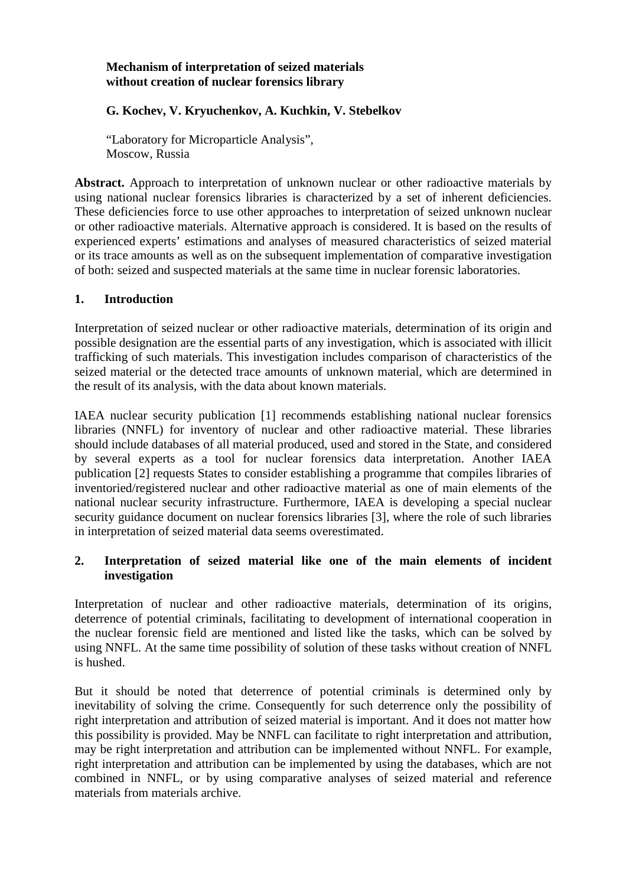## **Mechanism of interpretation of seized materials without creation of nuclear forensics library**

# **G. Kochev, V. Kryuchenkov, A. Kuchkin, V. Stebelkov**

"Laboratory for Microparticle Analysis", Moscow, Russia

**Abstract.** Approach to interpretation of unknown nuclear or other radioactive materials by using national nuclear forensics libraries is characterized by a set of inherent deficiencies. These deficiencies force to use other approaches to interpretation of seized unknown nuclear or other radioactive materials. Alternative approach is considered. It is based on the results of experienced experts' estimations and analyses of measured characteristics of seized material or its trace amounts as well as on the subsequent implementation of comparative investigation of both: seized and suspected materials at the same time in nuclear forensic laboratories.

### **1. Introduction**

Interpretation of seized nuclear or other radioactive materials, determination of its origin and possible designation are the essential parts of any investigation, which is associated with illicit trafficking of such materials. This investigation includes comparison of characteristics of the seized material or the detected trace amounts of unknown material, which are determined in the result of its analysis, with the data about known materials.

IAEA nuclear security publication [1] recommends establishing national nuclear forensics libraries (NNFL) for inventory of nuclear and other radioactive material. These libraries should include databases of all material produced, used and stored in the State, and considered by several experts as a tool for nuclear forensics data interpretation. Another IAEA publication [2] requests States to consider establishing a programme that compiles libraries of inventoried/registered nuclear and other radioactive material as one of main elements of the national nuclear security infrastructure. Furthermore, IAEA is developing a special nuclear security guidance document on nuclear forensics libraries [3], where the role of such libraries in interpretation of seized material data seems overestimated.

## **2. Interpretation of seized material like one of the main elements of incident investigation**

Interpretation of nuclear and other radioactive materials, determination of its origins, deterrence of potential criminals, facilitating to development of international cooperation in the nuclear forensic field are mentioned and listed like the tasks, which can be solved by using NNFL. At the same time possibility of solution of these tasks without creation of NNFL is hushed.

But it should be noted that deterrence of potential criminals is determined only by inevitability of solving the crime. Consequently for such deterrence only the possibility of right interpretation and attribution of seized material is important. And it does not matter how this possibility is provided. May be NNFL can facilitate to right interpretation and attribution, may be right interpretation and attribution can be implemented without NNFL. For example, right interpretation and attribution can be implemented by using the databases, which are not combined in NNFL, or by using comparative analyses of seized material and reference materials from materials archive.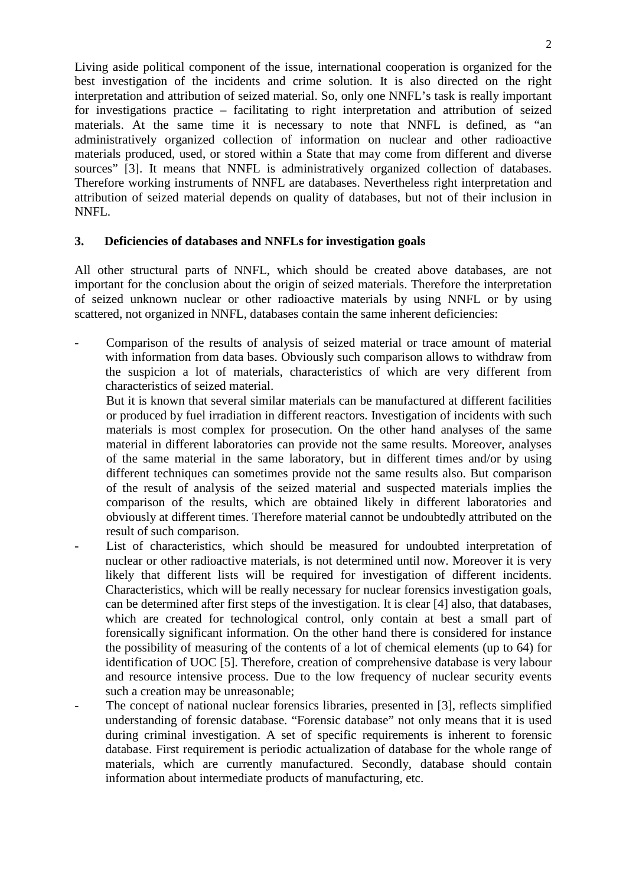Living aside political component of the issue, international cooperation is organized for the best investigation of the incidents and crime solution. It is also directed on the right interpretation and attribution of seized material. So, only one NNFL's task is really important for investigations practice – facilitating to right interpretation and attribution of seized materials. At the same time it is necessary to note that NNFL is defined, as "an administratively organized collection of information on nuclear and other radioactive materials produced, used, or stored within a State that may come from different and diverse sources" [3]. It means that NNFL is administratively organized collection of databases. Therefore working instruments of NNFL are databases. Nevertheless right interpretation and attribution of seized material depends on quality of databases, but not of their inclusion in NNFL.

### **3. Deficiencies of databases and NNFLs for investigation goals**

All other structural parts of NNFL, which should be created above databases, are not important for the conclusion about the origin of seized materials. Therefore the interpretation of seized unknown nuclear or other radioactive materials by using NNFL or by using scattered, not organized in NNFL, databases contain the same inherent deficiencies:

- Comparison of the results of analysis of seized material or trace amount of material with information from data bases. Obviously such comparison allows to withdraw from the suspicion a lot of materials, characteristics of which are very different from characteristics of seized material.
	- But it is known that several similar materials can be manufactured at different facilities or produced by fuel irradiation in different reactors. Investigation of incidents with such materials is most complex for prosecution. On the other hand analyses of the same material in different laboratories can provide not the same results. Moreover, analyses of the same material in the same laboratory, but in different times and/or by using different techniques can sometimes provide not the same results also. But comparison of the result of analysis of the seized material and suspected materials implies the comparison of the results, which are obtained likely in different laboratories and obviously at different times. Therefore material cannot be undoubtedly attributed on the result of such comparison.
- List of characteristics, which should be measured for undoubted interpretation of nuclear or other radioactive materials, is not determined until now. Moreover it is very likely that different lists will be required for investigation of different incidents. Characteristics, which will be really necessary for nuclear forensics investigation goals, can be determined after first steps of the investigation. It is clear [4] also, that databases, which are created for technological control, only contain at best a small part of forensically significant information. On the other hand there is considered for instance the possibility of measuring of the contents of a lot of chemical elements (up to 64) for identification of UOC [5]. Therefore, creation of comprehensive database is very labour and resource intensive process. Due to the low frequency of nuclear security events such a creation may be unreasonable;
- The concept of national nuclear forensics libraries, presented in [3], reflects simplified understanding of forensic database. "Forensic database" not only means that it is used during criminal investigation. A set of specific requirements is inherent to forensic database. First requirement is periodic actualization of database for the whole range of materials, which are currently manufactured. Secondly, database should contain information about intermediate products of manufacturing, etc.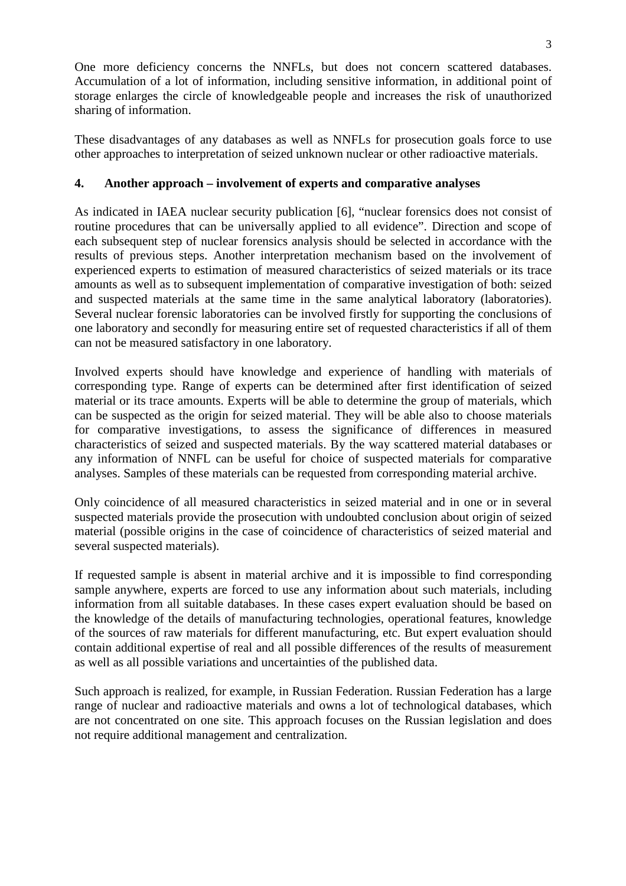One more deficiency concerns the NNFLs, but does not concern scattered databases. Accumulation of a lot of information, including sensitive information, in additional point of storage enlarges the circle of knowledgeable people and increases the risk of unauthorized sharing of information.

These disadvantages of any databases as well as NNFLs for prosecution goals force to use other approaches to interpretation of seized unknown nuclear or other radioactive materials.

# **4. Another approach – involvement of experts and comparative analyses**

As indicated in IAEA nuclear security publication [6], "nuclear forensics does not consist of routine procedures that can be universally applied to all evidence". Direction and scope of each subsequent step of nuclear forensics analysis should be selected in accordance with the results of previous steps. Another interpretation mechanism based on the involvement of experienced experts to estimation of measured characteristics of seized materials or its trace amounts as well as to subsequent implementation of comparative investigation of both: seized and suspected materials at the same time in the same analytical laboratory (laboratories). Several nuclear forensic laboratories can be involved firstly for supporting the conclusions of one laboratory and secondly for measuring entire set of requested characteristics if all of them can not be measured satisfactory in one laboratory.

Involved experts should have knowledge and experience of handling with materials of corresponding type. Range of experts can be determined after first identification of seized material or its trace amounts. Experts will be able to determine the group of materials, which can be suspected as the origin for seized material. They will be able also to choose materials for comparative investigations, to assess the significance of differences in measured characteristics of seized and suspected materials. By the way scattered material databases or any information of NNFL can be useful for choice of suspected materials for comparative analyses. Samples of these materials can be requested from corresponding material archive.

Only coincidence of all measured characteristics in seized material and in one or in several suspected materials provide the prosecution with undoubted conclusion about origin of seized material (possible origins in the case of coincidence of characteristics of seized material and several suspected materials).

If requested sample is absent in material archive and it is impossible to find corresponding sample anywhere, experts are forced to use any information about such materials, including information from all suitable databases. In these cases expert evaluation should be based on the knowledge of the details of manufacturing technologies, operational features, knowledge of the sources of raw materials for different manufacturing, etc. But expert evaluation should contain additional expertise of real and all possible differences of the results of measurement as well as all possible variations and uncertainties of the published data.

Such approach is realized, for example, in Russian Federation. Russian Federation has a large range of nuclear and radioactive materials and owns a lot of technological databases, which are not concentrated on one site. This approach focuses on the Russian legislation and does not require additional management and centralization.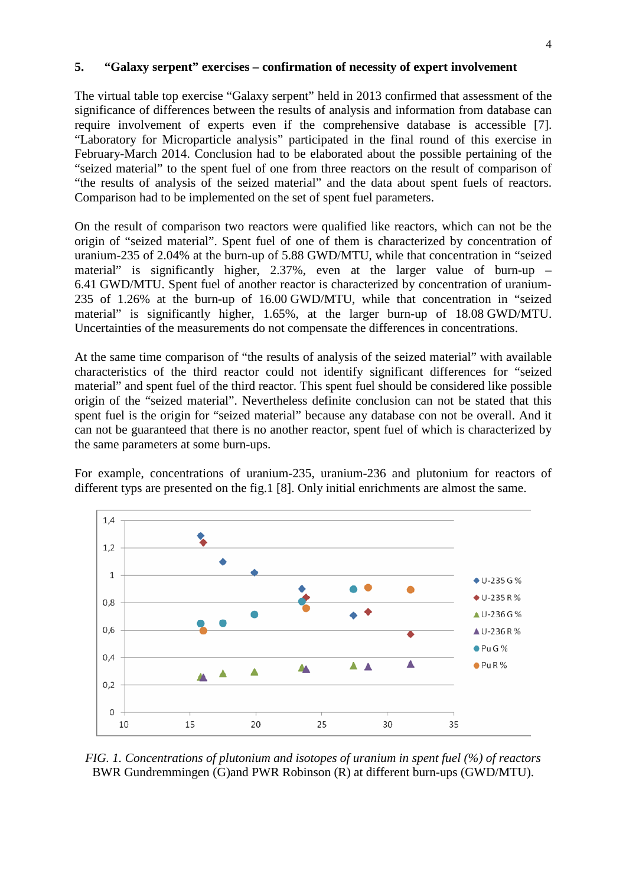#### **5. "Galaxy serpent" exercises – confirmation of necessity of expert involvement**

The virtual table top exercise "Galaxy serpent" held in 2013 confirmed that assessment of the significance of differences between the results of analysis and information from database can require involvement of experts even if the comprehensive database is accessible [7]. "Laboratory for Microparticle analysis" participated in the final round of this exercise in February-March 2014. Conclusion had to be elaborated about the possible pertaining of the "seized material" to the spent fuel of one from three reactors on the result of comparison of "the results of analysis of the seized material" and the data about spent fuels of reactors. Comparison had to be implemented on the set of spent fuel parameters.

On the result of comparison two reactors were qualified like reactors, which can not be the origin of "seized material". Spent fuel of one of them is characterized by concentration of uranium-235 of 2.04% at the burn-up of 5.88 GWD/MTU, while that concentration in "seized material" is significantly higher, 2.37%, even at the larger value of burn-up – 6.41 GWD/MTU. Spent fuel of another reactor is characterized by concentration of uranium-235 of 1.26% at the burn-up of 16.00 GWD/MTU, while that concentration in "seized material" is significantly higher, 1.65%, at the larger burn-up of 18.08 GWD/MTU. Uncertainties of the measurements do not compensate the differences in concentrations.

At the same time comparison of "the results of analysis of the seized material" with available characteristics of the third reactor could not identify significant differences for "seized material" and spent fuel of the third reactor. This spent fuel should be considered like possible origin of the "seized material". Nevertheless definite conclusion can not be stated that this spent fuel is the origin for "seized material" because any database con not be overall. And it can not be guaranteed that there is no another reactor, spent fuel of which is characterized by the same parameters at some burn-ups.

For example, concentrations of uranium-235, uranium-236 and plutonium for reactors of different typs are presented on the fig.1 [8]. Only initial enrichments are almost the same.



*FIG. 1. Concentrations of plutonium and isotopes of uranium in spent fuel (%) of reactors*  BWR Gundremmingen (G)and PWR Robinson (R) at different burn-ups (GWD/MTU).